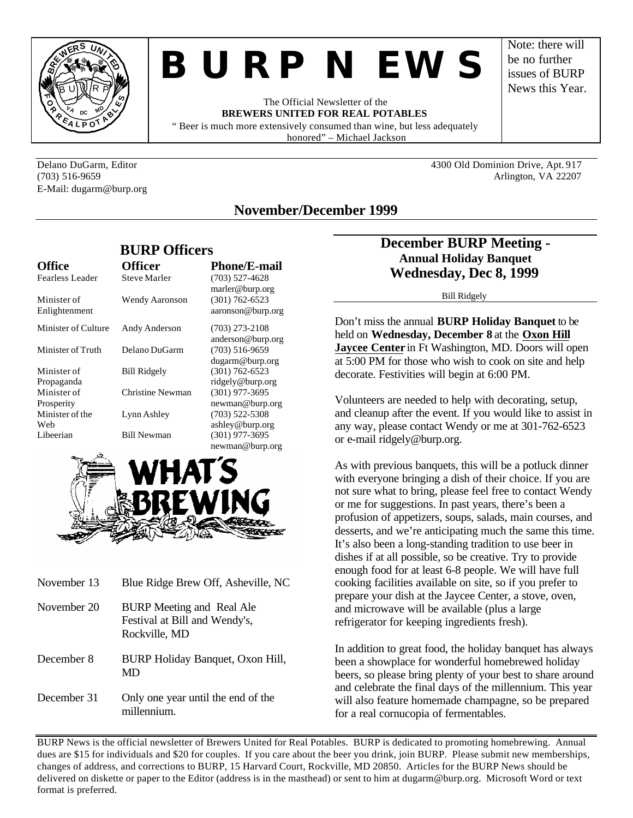

# *BURP NEWS*

The Official Newsletter of the **BREWERS UNITED FOR REAL POTABLES** " Beer is much more extensively consumed than wine, but less adequately honored" – Michael Jackson

E-Mail: dugarm@burp.org

Delano DuGarm, Editor 4300 Old Dominion Drive, Apt. 917 (703) 516-9659 Arlington, VA 22207

Note: there will be no further issues of BURP News this Year.

# **November/December 1999**

|                              |                     | <b>BURP Officers</b>                    |  |
|------------------------------|---------------------|-----------------------------------------|--|
| <b>Office</b>                | <b>Officer</b>      | <b>Phone/E-mail</b>                     |  |
| Fearless Leader              | <b>Steve Marler</b> | $(703)$ 527-4628<br>marler@burp.org     |  |
| Minister of<br>Enlightenment | Wendy Aaronson      | $(301) 762 - 6523$<br>aaronson@burp.org |  |
| Minister of Culture          | Andy Anderson       | $(703)$ 273-2108<br>anderson@burp.org   |  |
| Minister of Truth            | Delano DuGarm       | $(703)$ 516-9659<br>dugarm@burp.org     |  |
| Minister of<br>Propaganda    | <b>Bill Ridgely</b> | $(301) 762 - 6523$<br>ridgely@burp.org  |  |
| Minister of<br>Prosperity    | Christine Newman    | $(301)$ 977-3695<br>newman@burp.org     |  |
| Minister of the<br>Web       | Lynn Ashley         | $(703)$ 522-5308<br>ashley@burp.org     |  |
| Libeerian                    | <b>Bill Newman</b>  | $(301)$ 977-3695<br>newman@hurn.org     |  |



| November 13 | Blue Ridge Brew Off, Asheville, NC                                                 |
|-------------|------------------------------------------------------------------------------------|
| November 20 | <b>BURP</b> Meeting and Real Ale<br>Festival at Bill and Wendy's,<br>Rockville, MD |
| December 8  | BURP Holiday Banquet, Oxon Hill,<br>MD                                             |
| December 31 | Only one year until the end of the<br>millennium                                   |

# **December BURP Meeting - Annual Holiday Banquet Wednesday, Dec 8, 1999**

Bill Ridgely

Don't miss the annual **BURP Holiday Banquet** to be held on **Wednesday, December 8** at the **Oxon Hill Jaycee Center** in Ft Washington, MD. Doors will open at 5:00 PM for those who wish to cook on site and help decorate. Festivities will begin at 6:00 PM.

Volunteers are needed to help with decorating, setup, and cleanup after the event. If you would like to assist in any way, please contact Wendy or me at 301-762-6523 or e-mail ridgely@burp.org.

As with previous banquets, this will be a potluck dinner with everyone bringing a dish of their choice. If you are not sure what to bring, please feel free to contact Wendy or me for suggestions. In past years, there's been a profusion of appetizers, soups, salads, main courses, and desserts, and we're anticipating much the same this time. It's also been a long-standing tradition to use beer in dishes if at all possible, so be creative. Try to provide enough food for at least 6-8 people. We will have full cooking facilities available on site, so if you prefer to prepare your dish at the Jaycee Center, a stove, oven, and microwave will be available (plus a large refrigerator for keeping ingredients fresh).

In addition to great food, the holiday banquet has always been a showplace for wonderful homebrewed holiday beers, so please bring plenty of your best to share around and celebrate the final days of the millennium. This year will also feature homemade champagne, so be prepared for a real cornucopia of fermentables.

BURP News is the official newsletter of Brewers United for Real Potables. BURP is dedicated to promoting homebrewing. Annual dues are \$15 for individuals and \$20 for couples. If you care about the beer you drink, join BURP. Please submit new memberships, changes of address, and corrections to BURP, 15 Harvard Court, Rockville, MD 20850. Articles for the BURP News should be delivered on diskette or paper to the Editor (address is in the masthead) or sent to him at dugarm@burp.org. Microsoft Word or text format is preferred.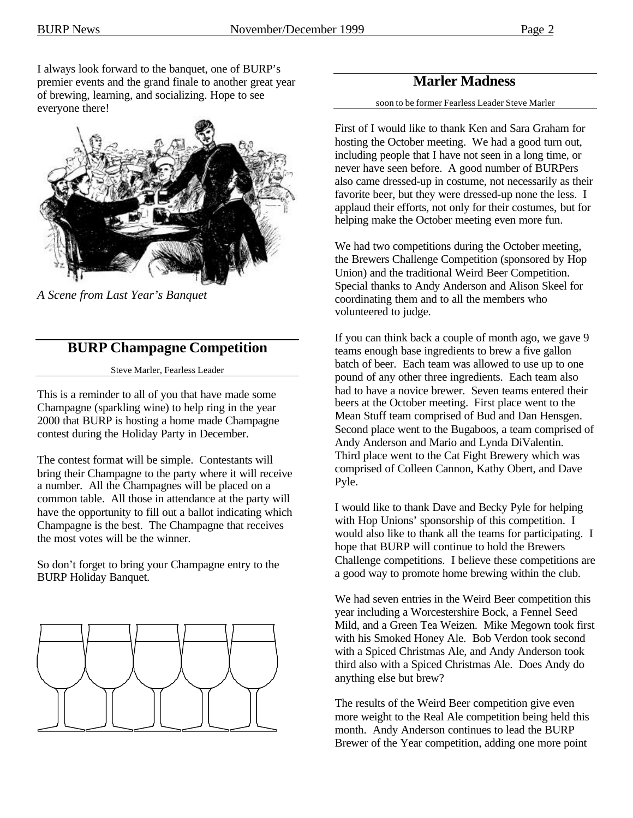I always look forward to the banquet, one of BURP's premier events and the grand finale to another great year of brewing, learning, and socializing. Hope to see everyone there!



*A Scene from Last Year's Banquet*

# **BURP Champagne Competition**

Steve Marler, Fearless Leader

This is a reminder to all of you that have made some Champagne (sparkling wine) to help ring in the year 2000 that BURP is hosting a home made Champagne contest during the Holiday Party in December.

The contest format will be simple. Contestants will bring their Champagne to the party where it will receive a number. All the Champagnes will be placed on a common table. All those in attendance at the party will have the opportunity to fill out a ballot indicating which Champagne is the best. The Champagne that receives the most votes will be the winner.

So don't forget to bring your Champagne entry to the BURP Holiday Banquet.



# **Marler Madness**

soon to be former Fearless Leader Steve Marler

First of I would like to thank Ken and Sara Graham for hosting the October meeting. We had a good turn out, including people that I have not seen in a long time, or never have seen before. A good number of BURPers also came dressed-up in costume, not necessarily as their favorite beer, but they were dressed-up none the less. I applaud their efforts, not only for their costumes, but for helping make the October meeting even more fun.

We had two competitions during the October meeting, the Brewers Challenge Competition (sponsored by Hop Union) and the traditional Weird Beer Competition. Special thanks to Andy Anderson and Alison Skeel for coordinating them and to all the members who volunteered to judge.

If you can think back a couple of month ago, we gave 9 teams enough base ingredients to brew a five gallon batch of beer. Each team was allowed to use up to one pound of any other three ingredients. Each team also had to have a novice brewer. Seven teams entered their beers at the October meeting. First place went to the Mean Stuff team comprised of Bud and Dan Hensgen. Second place went to the Bugaboos, a team comprised of Andy Anderson and Mario and Lynda DiValentin. Third place went to the Cat Fight Brewery which was comprised of Colleen Cannon, Kathy Obert, and Dave Pyle.

I would like to thank Dave and Becky Pyle for helping with Hop Unions' sponsorship of this competition. I would also like to thank all the teams for participating. I hope that BURP will continue to hold the Brewers Challenge competitions. I believe these competitions are a good way to promote home brewing within the club.

We had seven entries in the Weird Beer competition this year including a Worcestershire Bock, a Fennel Seed Mild, and a Green Tea Weizen. Mike Megown took first with his Smoked Honey Ale. Bob Verdon took second with a Spiced Christmas Ale, and Andy Anderson took third also with a Spiced Christmas Ale. Does Andy do anything else but brew?

The results of the Weird Beer competition give even more weight to the Real Ale competition being held this month. Andy Anderson continues to lead the BURP Brewer of the Year competition, adding one more point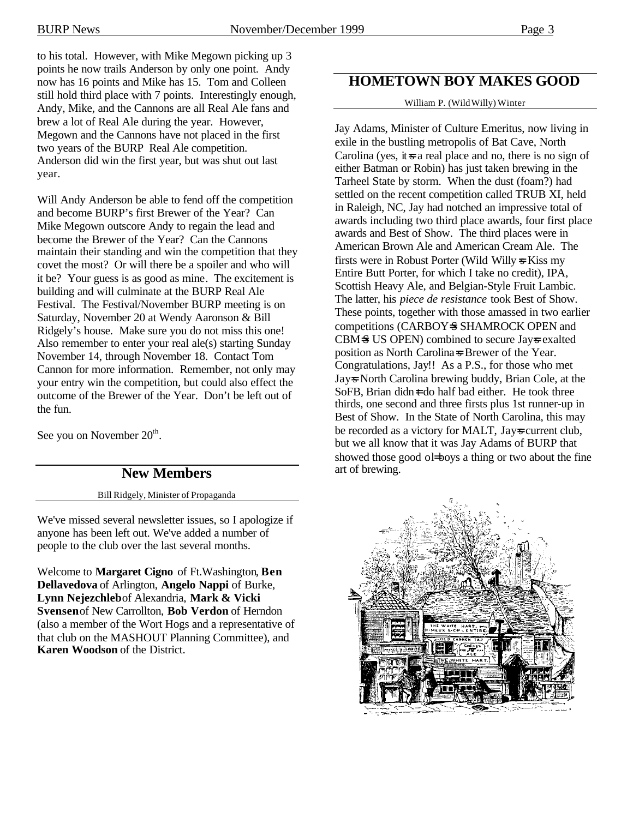to his total. However, with Mike Megown picking up 3 points he now trails Anderson by only one point. Andy now has 16 points and Mike has 15. Tom and Colleen still hold third place with 7 points. Interestingly enough, Andy, Mike, and the Cannons are all Real Ale fans and brew a lot of Real Ale during the year. However, Megown and the Cannons have not placed in the first two years of the BURP Real Ale competition. Anderson did win the first year, but was shut out last year.

Will Andy Anderson be able to fend off the competition and become BURP's first Brewer of the Year? Can Mike Megown outscore Andy to regain the lead and become the Brewer of the Year? Can the Cannons maintain their standing and win the competition that they covet the most? Or will there be a spoiler and who will it be? Your guess is as good as mine. The excitement is building and will culminate at the BURP Real Ale Festival. The Festival/November BURP meeting is on Saturday, November 20 at Wendy Aaronson & Bill Ridgely's house. Make sure you do not miss this one! Also remember to enter your real ale(s) starting Sunday November 14, through November 18. Contact Tom Cannon for more information. Remember, not only may your entry win the competition, but could also effect the outcome of the Brewer of the Year. Don't be left out of the fun.

See you on November  $20<sup>th</sup>$ .

# **New Members**

Bill Ridgely, Minister of Propaganda

We've missed several newsletter issues, so I apologize if anyone has been left out. We've added a number of people to the club over the last several months.

Welcome to **Margaret Cigno** of Ft.Washington, **Ben Dellavedova** of Arlington, **Angelo Nappi** of Burke, **Lynn Nejezchleb** of Alexandria, **Mark & Vicki Svensen** of New Carrollton, **Bob Verdon** of Herndon (also a member of the Wort Hogs and a representative of that club on the MASHOUT Planning Committee), and **Karen Woodson** of the District.

# **HOMETOWN BOY MAKES GOOD**

William P. (Wild Willy) Winter

Jay Adams, Minister of Culture Emeritus, now living in exile in the bustling metropolis of Bat Cave, North Carolina (yes, it is a real place and no, there is no sign of either Batman or Robin) has just taken brewing in the Tarheel State by storm. When the dust (foam?) had settled on the recent competition called TRUB XI, held in Raleigh, NC, Jay had notched an impressive total of awards including two third place awards, four first place awards and Best of Show. The third places were in American Brown Ale and American Cream Ale. The firsts were in Robust Porter (Wild Willy  $\le$  Kiss my Entire Butt Porter, for which I take no credit), IPA, Scottish Heavy Ale, and Belgian-Style Fruit Lambic. The latter, his *piece de resistance* took Best of Show. These points, together with those amassed in two earlier competitions (CARBOY=S SHAMROCK OPEN and CBM-S US OPEN) combined to secure Jay-s exalted position as North Carolina=s Brewer of the Year. Congratulations, Jay!! As a P.S., for those who met Jay=s North Carolina brewing buddy, Brian Cole, at the SoFB, Brian didn=t do half bad either. He took three thirds, one second and three firsts plus 1st runner-up in Best of Show. In the State of North Carolina, this may be recorded as a victory for MALT, Jays current club, but we all know that it was Jay Adams of BURP that showed those good ol boys a thing or two about the fine art of brewing.

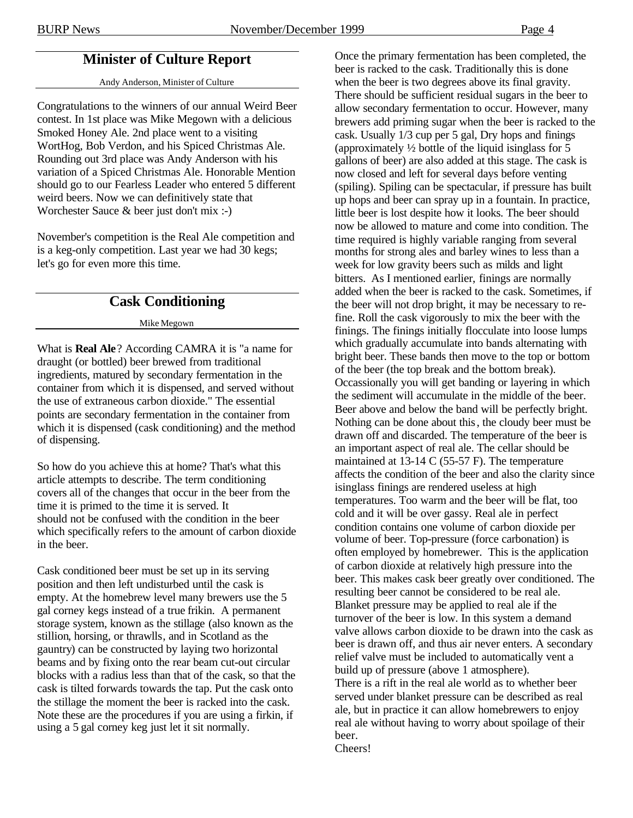# **Minister of Culture Report**

#### Andy Anderson, Minister of Culture

Congratulations to the winners of our annual Weird Beer contest. In 1st place was Mike Megown with a delicious Smoked Honey Ale. 2nd place went to a visiting WortHog, Bob Verdon, and his Spiced Christmas Ale. Rounding out 3rd place was Andy Anderson with his variation of a Spiced Christmas Ale. Honorable Mention should go to our Fearless Leader who entered 5 different weird beers. Now we can definitively state that Worchester Sauce & beer just don't mix :-)

November's competition is the Real Ale competition and is a keg-only competition. Last year we had 30 kegs; let's go for even more this time.

# **Cask Conditioning**

Mike Megown

What is **Real Ale**? According CAMRA it is "a name for draught (or bottled) beer brewed from traditional ingredients, matured by secondary fermentation in the container from which it is dispensed, and served without the use of extraneous carbon dioxide." The essential points are secondary fermentation in the container from which it is dispensed (cask conditioning) and the method of dispensing.

So how do you achieve this at home? That's what this article attempts to describe. The term conditioning covers all of the changes that occur in the beer from the time it is primed to the time it is served. It should not be confused with the condition in the beer which specifically refers to the amount of carbon dioxide in the beer.

Cask conditioned beer must be set up in its serving position and then left undisturbed until the cask is empty. At the homebrew level many brewers use the 5 gal corney kegs instead of a true frikin. A permanent storage system, known as the stillage (also known as the stillion, horsing, or thrawlls, and in Scotland as the gauntry) can be constructed by laying two horizontal beams and by fixing onto the rear beam cut-out circular blocks with a radius less than that of the cask, so that the cask is tilted forwards towards the tap. Put the cask onto the stillage the moment the beer is racked into the cask. Note these are the procedures if you are using a firkin, if using a 5 gal corney keg just let it sit normally.

Once the primary fermentation has been completed, the beer is racked to the cask. Traditionally this is done when the beer is two degrees above its final gravity. There should be sufficient residual sugars in the beer to allow secondary fermentation to occur. However, many brewers add priming sugar when the beer is racked to the cask. Usually 1/3 cup per 5 gal, Dry hops and finings (approximately ½ bottle of the liquid isinglass for 5 gallons of beer) are also added at this stage. The cask is now closed and left for several days before venting (spiling). Spiling can be spectacular, if pressure has built up hops and beer can spray up in a fountain. In practice, little beer is lost despite how it looks. The beer should now be allowed to mature and come into condition. The time required is highly variable ranging from several months for strong ales and barley wines to less than a week for low gravity beers such as milds and light bitters. As I mentioned earlier, finings are normally added when the beer is racked to the cask. Sometimes, if the beer will not drop bright, it may be necessary to refine. Roll the cask vigorously to mix the beer with the finings. The finings initially flocculate into loose lumps which gradually accumulate into bands alternating with bright beer. These bands then move to the top or bottom of the beer (the top break and the bottom break). Occassionally you will get banding or layering in which the sediment will accumulate in the middle of the beer. Beer above and below the band will be perfectly bright. Nothing can be done about this, the cloudy beer must be drawn off and discarded. The temperature of the beer is an important aspect of real ale. The cellar should be maintained at 13-14 C (55-57 F). The temperature affects the condition of the beer and also the clarity since isinglass finings are rendered useless at high temperatures. Too warm and the beer will be flat, too cold and it will be over gassy. Real ale in perfect condition contains one volume of carbon dioxide per volume of beer. Top-pressure (force carbonation) is often employed by homebrewer. This is the application of carbon dioxide at relatively high pressure into the beer. This makes cask beer greatly over conditioned. The resulting beer cannot be considered to be real ale. Blanket pressure may be applied to real ale if the turnover of the beer is low. In this system a demand valve allows carbon dioxide to be drawn into the cask as beer is drawn off, and thus air never enters. A secondary relief valve must be included to automatically vent a build up of pressure (above 1 atmosphere). There is a rift in the real ale world as to whether beer served under blanket pressure can be described as real ale, but in practice it can allow homebrewers to enjoy real ale without having to worry about spoilage of their beer. Cheers!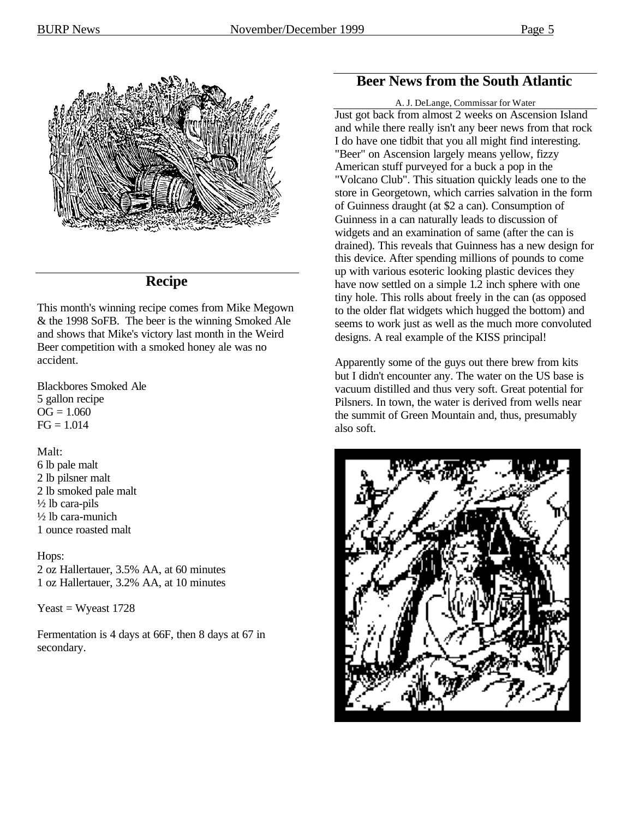

# **Recipe**

This month's winning recipe comes from Mike Megown & the 1998 SoFB. The beer is the winning Smoked Ale and shows that Mike's victory last month in the Weird Beer competition with a smoked honey ale was no accident.

Blackbores Smoked Ale 5 gallon recipe  $OG = 1.060$  $FG = 1.014$ 

## Malt:

6 lb pale malt 2 lb pilsner malt 2 lb smoked pale malt ½ lb cara-pils ½ lb cara-munich 1 ounce roasted malt

## Hops:

2 oz Hallertauer, 3.5% AA, at 60 minutes 1 oz Hallertauer, 3.2% AA, at 10 minutes

Yeast  $=$  Wyeast 1728

Fermentation is 4 days at 66F, then 8 days at 67 in secondary.

# **Beer News from the South Atlantic**

#### A. J. DeLange, Commissar for Water

Just got back from almost 2 weeks on Ascension Island and while there really isn't any beer news from that rock I do have one tidbit that you all might find interesting. "Beer" on Ascension largely means yellow, fizzy American stuff purveyed for a buck a pop in the "Volcano Club". This situation quickly leads one to the store in Georgetown, which carries salvation in the form of Guinness draught (at \$2 a can). Consumption of Guinness in a can naturally leads to discussion of widgets and an examination of same (after the can is drained). This reveals that Guinness has a new design for this device. After spending millions of pounds to come up with various esoteric looking plastic devices they have now settled on a simple 1.2 inch sphere with one tiny hole. This rolls about freely in the can (as opposed to the older flat widgets which hugged the bottom) and seems to work just as well as the much more convoluted designs. A real example of the KISS principal!

Apparently some of the guys out there brew from kits but I didn't encounter any. The water on the US base is vacuum distilled and thus very soft. Great potential for Pilsners. In town, the water is derived from wells near the summit of Green Mountain and, thus, presumably also soft.

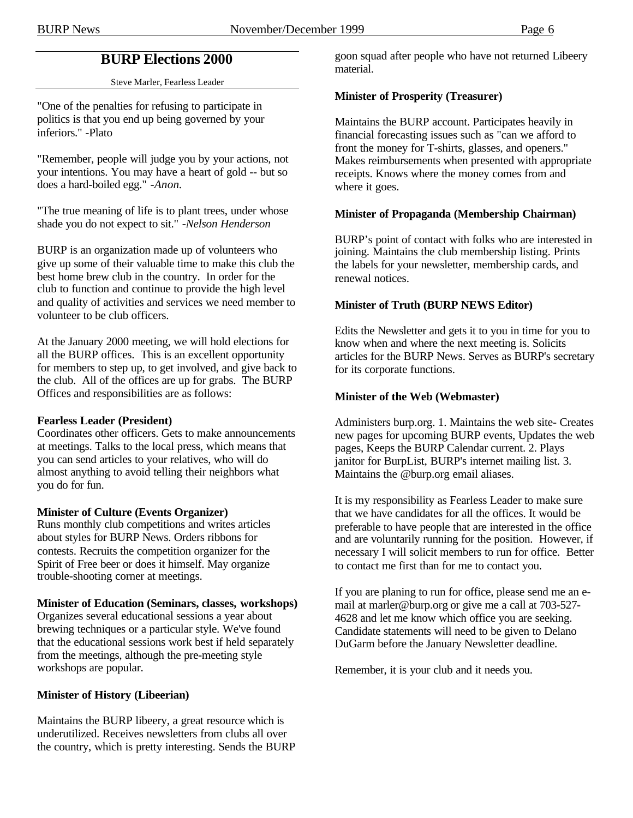# **BURP Elections 2000**

Steve Marler, Fearless Leader

"One of the penalties for refusing to participate in politics is that you end up being governed by your inferiors." *-*Plato

"Remember, people will judge you by your actions, not your intentions. You may have a heart of gold -- but so does a hard-boiled egg." *-Anon.*

"The true meaning of life is to plant trees, under whose shade you do not expect to sit." *-Nelson Henderson*

BURP is an organization made up of volunteers who give up some of their valuable time to make this club the best home brew club in the country. In order for the club to function and continue to provide the high level and quality of activities and services we need member to volunteer to be club officers.

At the January 2000 meeting, we will hold elections for all the BURP offices. This is an excellent opportunity for members to step up, to get involved, and give back to the club. All of the offices are up for grabs. The BURP Offices and responsibilities are as follows:

## **Fearless Leader (President)**

Coordinates other officers. Gets to make announcements at meetings. Talks to the local press, which means that you can send articles to your relatives, who will do almost anything to avoid telling their neighbors what you do for fun.

## **Minister of Culture (Events Organizer)**

Runs monthly club competitions and writes articles about styles for BURP News. Orders ribbons for contests. Recruits the competition organizer for the Spirit of Free beer or does it himself. May organize trouble-shooting corner at meetings.

## **Minister of Education (Seminars, classes, workshops)**

Organizes several educational sessions a year about brewing techniques or a particular style. We've found that the educational sessions work best if held separately from the meetings, although the pre-meeting style workshops are popular.

## **Minister of History (Libeerian)**

Maintains the BURP libeery, a great resource which is underutilized. Receives newsletters from clubs all over the country, which is pretty interesting. Sends the BURP goon squad after people who have not returned Libeery material.

## **Minister of Prosperity (Treasurer)**

Maintains the BURP account. Participates heavily in financial forecasting issues such as "can we afford to front the money for T-shirts, glasses, and openers." Makes reimbursements when presented with appropriate receipts. Knows where the money comes from and where it goes.

## **Minister of Propaganda (Membership Chairman)**

BURP's point of contact with folks who are interested in joining. Maintains the club membership listing. Prints the labels for your newsletter, membership cards, and renewal notices.

## **Minister of Truth (BURP NEWS Editor)**

Edits the Newsletter and gets it to you in time for you to know when and where the next meeting is. Solicits articles for the BURP News. Serves as BURP's secretary for its corporate functions.

## **Minister of the Web (Webmaster)**

Administers burp.org. 1. Maintains the web site- Creates new pages for upcoming BURP events, Updates the web pages, Keeps the BURP Calendar current. 2. Plays janitor for BurpList, BURP's internet mailing list. 3. Maintains the @burp.org email aliases.

It is my responsibility as Fearless Leader to make sure that we have candidates for all the offices. It would be preferable to have people that are interested in the office and are voluntarily running for the position. However, if necessary I will solicit members to run for office. Better to contact me first than for me to contact you.

If you are planing to run for office, please send me an email at marler@burp.org or give me a call at 703-527- 4628 and let me know which office you are seeking. Candidate statements will need to be given to Delano DuGarm before the January Newsletter deadline.

Remember, it is your club and it needs you.